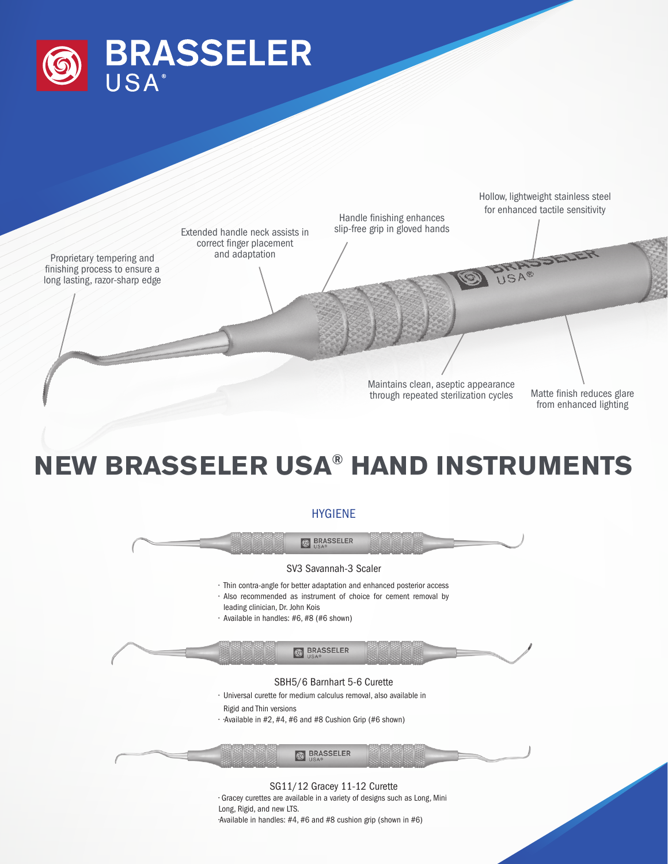



## **NEW BRASSELER USA® HAND INSTRUMENTS**

## HYGIENE